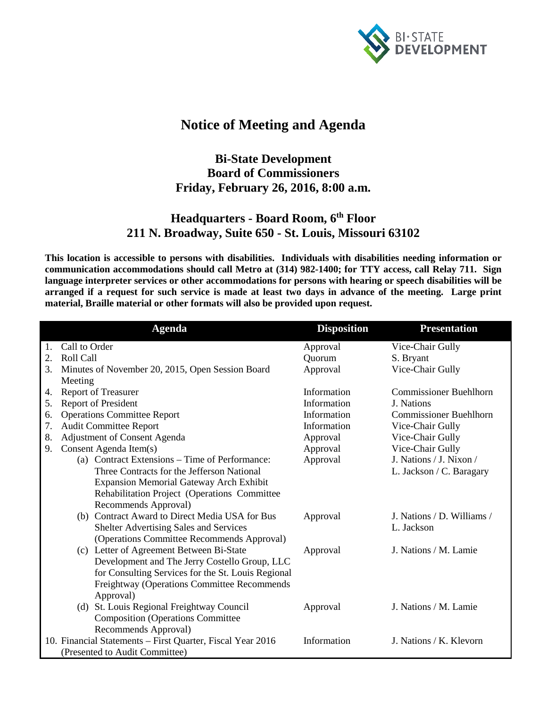

## **Notice of Meeting and Agenda**

## **Bi-State Development Board of Commissioners Friday, February 26, 2016, 8:00 a.m.**

## **Headquarters - Board Room, 6th Floor 211 N. Broadway, Suite 650 - St. Louis, Missouri 63102**

**This location is accessible to persons with disabilities. Individuals with disabilities needing information or communication accommodations should call Metro at (314) 982-1400; for TTY access, call Relay 711. Sign language interpreter services or other accommodations for persons with hearing or speech disabilities will be arranged if a request for such service is made at least two days in advance of the meeting. Large print material, Braille material or other formats will also be provided upon request.**

|                                                                                                      | <b>Agenda</b>                                      | <b>Disposition</b> | <b>Presentation</b>           |  |  |
|------------------------------------------------------------------------------------------------------|----------------------------------------------------|--------------------|-------------------------------|--|--|
|                                                                                                      | Call to Order                                      | Approval           | Vice-Chair Gully              |  |  |
| 2.                                                                                                   | Roll Call                                          | Quorum             | S. Bryant                     |  |  |
| 3.                                                                                                   | Minutes of November 20, 2015, Open Session Board   | Approval           | Vice-Chair Gully              |  |  |
|                                                                                                      | Meeting                                            |                    |                               |  |  |
| 4.                                                                                                   | <b>Report of Treasurer</b>                         | Information        | <b>Commissioner Buehlhorn</b> |  |  |
| 5.                                                                                                   | Report of President                                | Information        | J. Nations                    |  |  |
| 6.                                                                                                   | <b>Operations Committee Report</b>                 | Information        | <b>Commissioner Buehlhorn</b> |  |  |
| 7.                                                                                                   | <b>Audit Committee Report</b>                      | Information        | Vice-Chair Gully              |  |  |
| 8.                                                                                                   | Adjustment of Consent Agenda                       | Approval           | Vice-Chair Gully              |  |  |
| 9.                                                                                                   | Consent Agenda Item(s)                             | Approval           | Vice-Chair Gully              |  |  |
|                                                                                                      | (a) Contract Extensions – Time of Performance:     | Approval           | J. Nations / J. Nixon /       |  |  |
|                                                                                                      | Three Contracts for the Jefferson National         |                    | L. Jackson / C. Baragary      |  |  |
|                                                                                                      | <b>Expansion Memorial Gateway Arch Exhibit</b>     |                    |                               |  |  |
|                                                                                                      | Rehabilitation Project (Operations Committee       |                    |                               |  |  |
|                                                                                                      | Recommends Approval)                               |                    |                               |  |  |
|                                                                                                      | (b) Contract Award to Direct Media USA for Bus     | Approval           | J. Nations / D. Williams /    |  |  |
|                                                                                                      | Shelter Advertising Sales and Services             |                    | L. Jackson                    |  |  |
|                                                                                                      | (Operations Committee Recommends Approval)         |                    |                               |  |  |
|                                                                                                      | (c) Letter of Agreement Between Bi-State           | Approval           | J. Nations / M. Lamie         |  |  |
|                                                                                                      | Development and The Jerry Costello Group, LLC      |                    |                               |  |  |
|                                                                                                      | for Consulting Services for the St. Louis Regional |                    |                               |  |  |
|                                                                                                      | Freightway (Operations Committee Recommends        |                    |                               |  |  |
|                                                                                                      | Approval)                                          |                    |                               |  |  |
|                                                                                                      | (d) St. Louis Regional Freightway Council          | Approval           | J. Nations / M. Lamie         |  |  |
|                                                                                                      | <b>Composition (Operations Committee</b>           |                    |                               |  |  |
|                                                                                                      | Recommends Approval)                               |                    |                               |  |  |
| 10. Financial Statements - First Quarter, Fiscal Year 2016<br>Information<br>J. Nations / K. Klevorn |                                                    |                    |                               |  |  |
|                                                                                                      | (Presented to Audit Committee)                     |                    |                               |  |  |